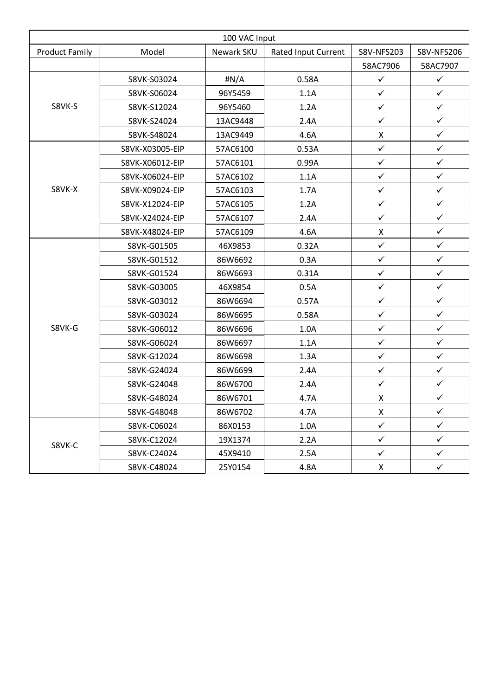| 100 VAC Input         |                 |              |                     |              |              |  |  |  |
|-----------------------|-----------------|--------------|---------------------|--------------|--------------|--|--|--|
| <b>Product Family</b> | Model           | Newark SKU   | Rated Input Current | S8V-NFS203   | S8V-NFS206   |  |  |  |
|                       |                 |              |                     | 58AC7906     | 58AC7907     |  |  |  |
| S8VK-S                | S8VK-S03024     | $\sharp N/A$ | 0.58A               | $\checkmark$ | $\checkmark$ |  |  |  |
|                       | S8VK-S06024     | 96Y5459      | 1.1A                | $\checkmark$ | $\checkmark$ |  |  |  |
|                       | S8VK-S12024     | 96Y5460      | 1.2A                | $\checkmark$ | $\checkmark$ |  |  |  |
|                       | S8VK-S24024     | 13AC9448     | 2.4A                | $\checkmark$ | $\checkmark$ |  |  |  |
|                       | S8VK-S48024     | 13AC9449     | 4.6A                | X            | $\checkmark$ |  |  |  |
| S8VK-X                | S8VK-X03005-EIP | 57AC6100     | 0.53A               | $\checkmark$ | $\checkmark$ |  |  |  |
|                       | S8VK-X06012-EIP | 57AC6101     | 0.99A               | $\checkmark$ | $\checkmark$ |  |  |  |
|                       | S8VK-X06024-EIP | 57AC6102     | 1.1A                | $\checkmark$ | $\checkmark$ |  |  |  |
|                       | S8VK-X09024-EIP | 57AC6103     | 1.7A                | $\checkmark$ | $\checkmark$ |  |  |  |
|                       | S8VK-X12024-EIP | 57AC6105     | 1.2A                | $\checkmark$ | $\checkmark$ |  |  |  |
|                       | S8VK-X24024-EIP | 57AC6107     | 2.4A                | $\checkmark$ | $\checkmark$ |  |  |  |
|                       | S8VK-X48024-EIP | 57AC6109     | 4.6A                | X            | $\checkmark$ |  |  |  |
| S8VK-G                | S8VK-G01505     | 46X9853      | 0.32A               | $\checkmark$ | $\checkmark$ |  |  |  |
|                       | S8VK-G01512     | 86W6692      | 0.3A                | $\checkmark$ | $\checkmark$ |  |  |  |
|                       | S8VK-G01524     | 86W6693      | 0.31A               | $\checkmark$ | $\checkmark$ |  |  |  |
|                       | S8VK-G03005     | 46X9854      | 0.5A                | $\checkmark$ | $\checkmark$ |  |  |  |
|                       | S8VK-G03012     | 86W6694      | 0.57A               | $\checkmark$ | $\checkmark$ |  |  |  |
|                       | S8VK-G03024     | 86W6695      | 0.58A               | $\checkmark$ | $\checkmark$ |  |  |  |
|                       | S8VK-G06012     | 86W6696      | 1.0A                | $\checkmark$ | $\checkmark$ |  |  |  |
|                       | S8VK-G06024     | 86W6697      | 1.1A                | $\checkmark$ | $\checkmark$ |  |  |  |
|                       | S8VK-G12024     | 86W6698      | 1.3A                | $\checkmark$ | $\checkmark$ |  |  |  |
|                       | S8VK-G24024     | 86W6699      | 2.4A                | $\checkmark$ | $\checkmark$ |  |  |  |
|                       | S8VK-G24048     | 86W6700      | 2.4A                | $\checkmark$ | $\checkmark$ |  |  |  |
|                       | S8VK-G48024     | 86W6701      | 4.7A                | Χ            | ✓            |  |  |  |
|                       | S8VK-G48048     | 86W6702      | 4.7A                | X            | $\checkmark$ |  |  |  |
| S8VK-C                | S8VK-C06024     | 86X0153      | 1.0A                | $\checkmark$ | $\checkmark$ |  |  |  |
|                       | S8VK-C12024     | 19X1374      | 2.2A                | $\checkmark$ | $\checkmark$ |  |  |  |
|                       | S8VK-C24024     | 45X9410      | 2.5A                | $\checkmark$ | $\checkmark$ |  |  |  |
|                       | S8VK-C48024     | 25Y0154      | 4.8A                | X            | $\checkmark$ |  |  |  |